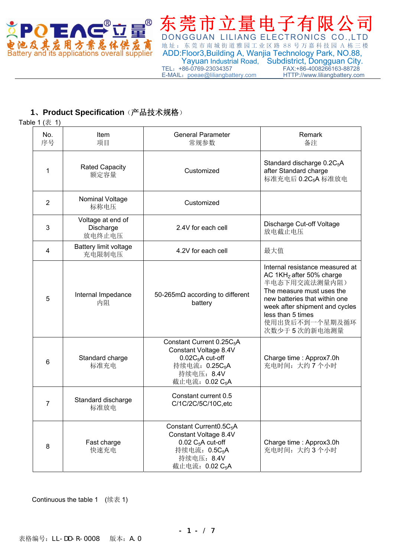

DONGGUAN LILIANG ELECTRONICS CO.,LTD **电池及其应用方紫总体供应商**地址:东莞市南城街道雅园工业区路 88 号万嘉科技园 A 栋三楼<br>Battery and its applications overall supplier ADD:Floor3,Building A, Wanjia Technology Park, NO.88, ADD:Floor3,Building A, Wanjia Technology Park, NO.88, Yayuan Industrial Road, Subdistrict, Dongguan City.<br>TEL: +86-0769-23034357 FAX:+86-4008266163-88728 FAX:+86-4008266163-88728<br>HTTP://www.liliangbattery.com E-MAIL: poeae@liliangbattery.com

## **1**、**Product Specification**(产品技术规格)

Table 1  $(\bar{\pm})$ 

| No.<br>序号 | Item<br>项目                               | <b>General Parameter</b><br>常规参数                                                                                                                                          | Remark<br>备注                                                                                                                                                                                                                        |
|-----------|------------------------------------------|---------------------------------------------------------------------------------------------------------------------------------------------------------------------------|-------------------------------------------------------------------------------------------------------------------------------------------------------------------------------------------------------------------------------------|
| 1         | <b>Rated Capacity</b><br>额定容量            | Customized                                                                                                                                                                | Standard discharge 0.2C <sub>5</sub> A<br>after Standard charge<br>标准充电后 0.2C <sub>5</sub> A 标准放电                                                                                                                                   |
| 2         | Nominal Voltage<br>标称电压                  | Customized                                                                                                                                                                |                                                                                                                                                                                                                                     |
| 3         | Voltage at end of<br>Discharge<br>放电终止电压 | 2.4V for each cell                                                                                                                                                        | Discharge Cut-off Voltage<br>放电截止电压                                                                                                                                                                                                 |
| 4         | Battery limit voltage<br>充电限制电压          | 4.2V for each cell                                                                                                                                                        | 最大值                                                                                                                                                                                                                                 |
| 5         | Internal Impedance<br>内阻                 | 50-265mΩ according to different<br>battery                                                                                                                                | Internal resistance measured at<br>AC 1KHz after 50% charge<br>半电态下用交流法测量内阻)<br>The measure must uses the<br>new batteries that within one<br>week after shipment and cycles<br>less than 5 times<br>使用出货后不到一个星期及循环<br>次数少于5次的新电池测量 |
| 6         | Standard charge<br>标准充电                  | Constant Current 0.25C <sub>5</sub> A<br>Constant Voltage 8.4V<br>$0.02C_5A$ cut-off<br>持续电流: 0.25C <sub>5</sub> A<br>持续电压: 8.4V<br>截止电流: 0.02 C <sub>5</sub> A           | Charge time: Approx7.0h<br>充电时间: 大约7个小时                                                                                                                                                                                             |
| 7         | Standard discharge<br>标准放电               | Constant current 0.5<br>C/1C/2C/5C/10C,etc                                                                                                                                |                                                                                                                                                                                                                                     |
| 8         | Fast charge<br>快速充电                      | Constant Current0.5C <sub>5</sub> A<br>Constant Voltage 8.4V<br>$0.02$ C <sub>5</sub> A cut-off<br>持续电流: 0.5C <sub>5</sub> A<br>持续电压: 8.4V<br>截止电流: 0.02 C <sub>5</sub> A | Charge time : Approx3.0h<br>充电时间: 大约3个小时                                                                                                                                                                                            |

Continuous the table 1 (续表 1)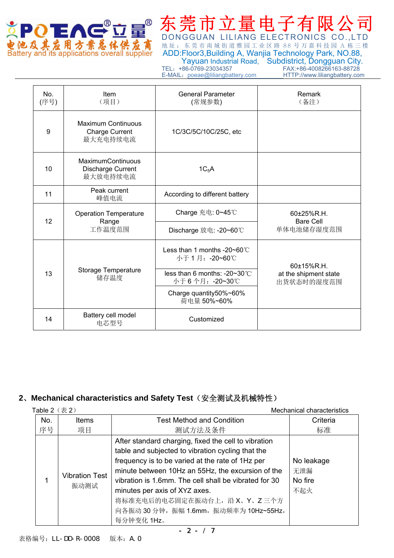

 ADD:Floor3,Building A, Wanjia Technology Park, NO.88, Yayuan Industrial Road, Subdistrict, Dongguan City.<br>TEL: +86-0769-23034357 FAX:+86-4008266163-88728 E-MAIL: poeae@liliangbattery.com

DONGGUAN LILIANG ELECTRONICS CO.,LTD

FAX:+86-4008266163-88728<br>HTTP://www.liliangbattery.com

| No.<br>(序号) | Item<br>(项目)                                              | <b>General Parameter</b><br>(常规参数)                | Remark<br>(备注)                                  |
|-------------|-----------------------------------------------------------|---------------------------------------------------|-------------------------------------------------|
| 9           | Maximum Continuous<br><b>Charge Current</b><br>最大充电持续电流   | 1C/3C/5C/10C/25C, etc                             |                                                 |
| 10          | <b>MaximumContinuous</b><br>Discharge Current<br>最大放电持续电流 | 1C <sub>5</sub> A                                 |                                                 |
| 11          | Peak current<br>峰值电流                                      | According to different battery                    |                                                 |
| 12          | <b>Operation Temperature</b><br>Range                     | Charge 充电: 0~45℃                                  | $60+25%$ R.H.<br><b>Bare Cell</b><br>单体电池储存湿度范围 |
|             | 工作温度范围                                                    | Discharge 放电: -20~60℃                             |                                                 |
|             |                                                           | Less than 1 months -20~60 $°C$<br>小于 1 月: -20~60℃ | 60±15%R.H.                                      |
| 13          | Storage Temperature<br>储存温度                               | less than 6 months: $-20-30$ °C<br>小于6个月: -20~30℃ | at the shipment state<br>出货状态时的湿度范围             |
|             |                                                           | Charge quantity50%~60%<br>荷电量 50%~60%             |                                                 |
| 14          | Battery cell model<br>电芯型号                                | Customized                                        |                                                 |

# **2**、**Mechanical characteristics and Safety Test**(安全测试及机械特性)

| Table $2$ $(\bar{\bar{\mathcal{R}}} 2)$ |                               |                                                                                                                                                                                                                                                                                                                                                                                                       | Mechanical characteristics          |
|-----------------------------------------|-------------------------------|-------------------------------------------------------------------------------------------------------------------------------------------------------------------------------------------------------------------------------------------------------------------------------------------------------------------------------------------------------------------------------------------------------|-------------------------------------|
| No.                                     | Items                         | <b>Test Method and Condition</b>                                                                                                                                                                                                                                                                                                                                                                      | Criteria                            |
| 序号                                      | 项目                            | 测试方法及条件                                                                                                                                                                                                                                                                                                                                                                                               | 标准                                  |
|                                         | <b>Vibration Test</b><br>振动测试 | After standard charging, fixed the cell to vibration<br>table and subjected to vibration cycling that the<br>frequency is to be varied at the rate of 1Hz per<br>minute between 10Hz an 55Hz, the excursion of the<br>vibration is 1.6mm. The cell shall be vibrated for 30<br>minutes per axis of XYZ axes.<br>将标准充电后的电芯固定在振动台上, 沿 X、Y、Z 三个方<br>向各振动 30 分钟, 振幅 1.6mm, 振动频率为 10Hz~55Hz,<br>每分钟变化 1Hz。 | No leakage<br>无泄漏<br>No fire<br>不起火 |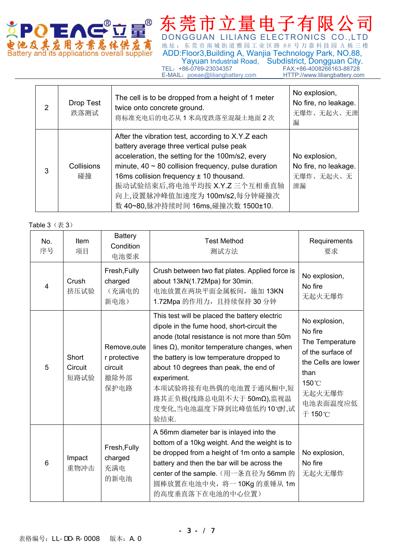

DONGGUAN LILIANG ELECTRONICS CO.,LTD **电池及其应用方紫总体供应商**地址:东莞市南城街道雅园工业区路 88 号万嘉科技园 A 栋三楼<br>Battery and its applications overall supplier ADD:Floor3,Building A, Wanjia Technology Park, NO.88, ADD:Floor3,Building A, Wanjia Technology Park, NO.88, **Example 2018** Yayuan Industrial Road, Subdistrict, Dongguan City. TEL:+86-0769-23034357 FAX:+86-4008266163-88728

E-MAIL: poeae@liliangbattery.com HTTP://www.liliangbattery.com

 $\overline{\phantom{0}}$ 

|                       | Drop Test<br>跌落测试 | The cell is to be dropped from a height of 1 meter<br>twice onto concrete ground.<br>将标准充电后的电芯从1米高度跌落至混凝土地面2次                                                                                                                                                                                                                                                      | No explosion,<br>No fire, no leakage.<br>无爆炸、无起火、无泄<br>漏 |
|-----------------------|-------------------|--------------------------------------------------------------------------------------------------------------------------------------------------------------------------------------------------------------------------------------------------------------------------------------------------------------------------------------------------------------------|----------------------------------------------------------|
| Collisions<br>3<br>碰撞 |                   | After the vibration test, according to X.Y.Z each<br>battery average three vertical pulse peak<br>acceleration, the setting for the 100m/s2, every<br>minute, $40 \sim 80$ collision frequency, pulse duration<br>16ms collision frequency $\pm$ 10 thousand.<br>振动试验结束后,将电池平均按 X.Y.Z 三个互相垂直轴<br>向上,设置脉冲峰值加速度为 100m/s2,每分钟碰撞次<br>数 40~80,脉冲持续时间 16ms,碰撞次数 1500±10. | No explosion,<br>No fire, no leakage.<br>无爆炸、无起火、无<br>泄漏 |

#### Table  $3$   $($   $\bar{\pm}$   $3)$

 $\Gamma$ 

| No.<br>序号               | Item<br>项目               | <b>Battery</b><br>Condition<br>电池要求                     | <b>Test Method</b><br>测试方法                                                                                                                                                                                                                                                                                                                                                                        | Requirements<br>要求                                                                                                                       |
|-------------------------|--------------------------|---------------------------------------------------------|---------------------------------------------------------------------------------------------------------------------------------------------------------------------------------------------------------------------------------------------------------------------------------------------------------------------------------------------------------------------------------------------------|------------------------------------------------------------------------------------------------------------------------------------------|
| $\overline{\mathbf{4}}$ | Crush<br>挤压试验            | Fresh, Fully<br>charged<br>(充满电的<br>新电池)                | Crush between two flat plates. Applied force is<br>about 13kN(1.72Mpa) for 30min.<br>电池放置在两块平面金属板间, 施加 13KN<br>1.72Mpa 的作用力, 且持续保持 30 分钟                                                                                                                                                                                                                                                          | No explosion,<br>No fire<br>无起火无爆炸                                                                                                       |
| 5                       | Short<br>Circuit<br>短路试验 | Remove, oute<br>r protective<br>circuit<br>撤除外部<br>保护电路 | This test will be placed the battery electric<br>dipole in the fume hood, short-circuit the<br>anode (total resistance is not more than 50m<br>lines $\Omega$ ), monitor temperature changes, when<br>the battery is low temperature dropped to<br>about 10 degrees than peak, the end of<br>experiment.<br>本项试验将接有电热偶的电池置于通风橱中,短<br>路其正负极(线路总电阻不大于 50mΩ),监视温<br>度变化,当电池温度下降到比峰值低约10°0时,试<br>验结束. | No explosion,<br>No fire<br>The Temperature<br>of the surface of<br>the Cells are lower<br>than<br>150°C<br>无起火无爆炸<br>电池表面温度应低<br>于 150℃ |
| 6                       | Impact<br>重物冲击           | Fresh, Fully<br>charged<br>充满电<br>的新电池                  | A 56mm diameter bar is inlayed into the<br>bottom of a 10kg weight. And the weight is to<br>be dropped from a height of 1m onto a sample<br>battery and then the bar will be across the<br>center of the sample. (用一条直径为 56mm 的<br>圆棒放置在电池中央, 将一 10Kg 的重锤从 1m<br>的高度垂直落下在电池的中心位置)                                                                                                                 | No explosion,<br>No fire<br>无起火无爆炸                                                                                                       |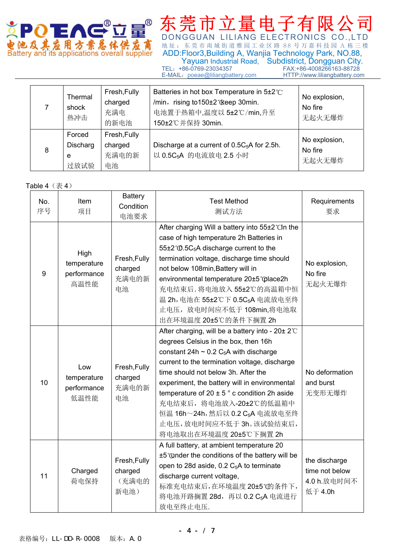

DONGGUAN LILIANG ELECTRONICS CO.,LTD **电池及其宏用方紫总体供应商**地址: 东莞市南城街道雅园工业区路 88 号万嘉科技园 A 栋三楼<br>Battery and its applications overall supplier ADD:Floor3,Building A, Wanjia Technology Park, NO.88, ADD:Floor3,Building A, Wanjia Technology Park, NO.88, Yayuan Industrial Road, Subdistrict, Dongguan City.<br>TEL: +86-0769-23034357 FAX:+86-4008266163-88728 FAX:+86-4008266163-88728<br>HTTP://www.liliangbattery.com E-MAIL: poeae@liliangbattery.com

7 Thermal shock 热冲击 Fresh,Fully charged 充满电 的新电池 Batteries in hot box Temperature in 5±2℃ /min, rising to150±2℃keep 30min. 电池置于热箱中,温度以 5±2℃/min,升至 150±2℃并保持 30min. No explosion, No fire 无起火无爆炸 8 Forced **Discharg** e 过放试验 Fresh,Fully charged 充满电的新 电池 Discharge at a current of  $0.5C_5A$  for 2.5h. 以 0.5C<sub>5</sub>A 的电流放电 2.5 小时 No explosion, No fire 无起火无爆炸

#### Table  $4$   $(\frac{\pi}{6} 4)$

| No.<br>序号 | Item<br>项目                                 | <b>Battery</b><br>Condition<br>电池要求      | <b>Test Method</b><br>测试方法                                                                                                                                                                                                                                                                                                                                                                                                                                                                 | Requirements<br>要求                                        |
|-----------|--------------------------------------------|------------------------------------------|--------------------------------------------------------------------------------------------------------------------------------------------------------------------------------------------------------------------------------------------------------------------------------------------------------------------------------------------------------------------------------------------------------------------------------------------------------------------------------------------|-----------------------------------------------------------|
| 9         | High<br>temperature<br>performance<br>高温性能 | Fresh, Fully<br>charged<br>充满电的新<br>电池   | After charging Will a battery into 55±2°CIn the<br>case of high temperature 2h Batteries in<br>55±2 ° <sub>0</sub> .5C <sub>5</sub> A discharge current to the<br>termination voltage, discharge time should<br>not below 108min, Battery will in<br>environmental temperature 20±5°@lace2h<br>充电结束后. 将电池放入 55±2℃的高温箱中恒<br>温 2h, 电池在 55±2℃下 0.5C <sub>5</sub> A 电流放电至终<br>止电压, 放电时间应不低于 108min,将电池取<br>出在环境温度 20±5℃的条件下搁置 2h                                                               | No explosion,<br>No fire<br>无起火无爆炸                        |
| 10        | Low<br>temperature<br>performance<br>低温性能  | Fresh, Fully<br>charged<br>充满电的新<br>电池   | After charging, will be a battery into - $20\pm 2^{\circ}$ C<br>degrees Celsius in the box, then 16h<br>constant 24h $\sim$ 0.2 C <sub>5</sub> A with discharge<br>current to the termination voltage, discharge<br>time should not below 3h. After the<br>experiment, the battery will in environmental<br>temperature of $20 \pm 5$ ° c condition 2h aside<br>充电结束后, 将电池放入-20±2℃的低温箱中<br>恒温 16h~24h, 然后以 0.2 C <sub>5</sub> A 电流放电至终<br>止电压,放电时间应不低于3h。该试验结束后,<br>将电池取出在环境温度 20±5℃下搁置 2h | No deformation<br>and burst<br>无变形无爆炸                     |
| 11        | Charged<br>荷电保持                            | Fresh, Fully<br>charged<br>(充满电的<br>新电池) | A full battery, at ambient temperature 20<br>±5°@nder the conditions of the battery will be<br>open to 28d aside, 0.2 C <sub>5</sub> A to terminate<br>discharge current voltage,<br>标准充电结束后,在环境温度 20±5°的条件下,<br>将电池开路搁置 28d, 再以 0.2 C <sub>5</sub> A 电流进行<br>放电至终止电压.                                                                                                                                                                                                                     | the discharge<br>time not below<br>4.0 h.放电时间不<br>低于 4.0h |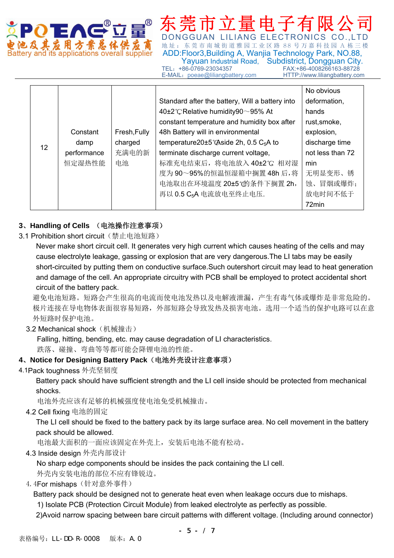

池及其为用方案总体供为商 出址: 东莞市南城街道雅园工业区路 88 号万嘉科技园 A 栋三楼 Battery and its applications overall supplier ADD:Floor3,Building A, Wanjia Technology Park, NO.88, Yayuan Industrial Road, Subdistrict, Dongguan City.<br>FAX:+86-4008266163-88728 FAX:+86-4008266163-88728<br>HTTP://www.liliangbattery.com E-MAIL: poeae@liliangbattery.com

DONGGUAN LILIANG FLECTRONICS

12 **Constant** damp performance 恒定湿热性能 Fresh,Fully charged 充满电的新 电池 Standard after the battery, Will a battery into 40±2℃, Relative humidity90~95% At constant temperature and humidity box after 48h Battery will in environmental temperature20±5℃Aside 2h, 0.5 C<sub>5</sub>A to terminate discharge current voltage, 标准充电结束后,将电池放入 40±2℃ 相对湿 度为 90~95%的恒温恒湿箱中搁置 48h 后,将 电池取出在环境温度 20±5℃的条件下搁置 2h, 再以 0.5 C<sub>5</sub>A 电流放电至终止电压. No obvious deformation, hands rust,smoke, explosion, discharge time not less than 72 min 无明显变形、锈 蚀、冒烟或爆炸; 放电时间不低于 72min

### **3**、**Handling of Cells** (电池操作注意事项)

3.1 Prohibition short circuit (禁止电池短路)

Never make short circuit cell. It generates very high current which causes heating of the cells and may cause electrolyte leakage, gassing or explosion that are very dangerous.The LI tabs may be easily short-circuited by putting them on conductive surface.Such outershort circuit may lead to heat generation and damage of the cell. An appropriate circuitry with PCB shall be employed to protect accidental short circuit of the battery pack.

避免电池短路。短路会产生很高的电流而使电池发热以及电解液泄漏,产生有毒气体或爆炸是非常危险的。 极片连接在导电物体表面很容易短路,外部短路会导致发热及损害电池。选用一个适当的保护电路可以在意 外短路时保护电池。

3.2 Mechanical shock (机械撞击)

Falling, hitting, bending, etc. may cause degradation of LI characteristics.

跌落、碰撞、弯曲等等都可能会降锂电池的性能。

### **4**、**Notice for Designing Battery Pack**(电池外壳设计注意事项)

### 4.1Pack toughness 外壳坚韧度

Battery pack should have sufficient strength and the LI cell inside should be protected from mechanical shocks.

电池外壳应该有足够的机械强度使电池免受机械撞击。

4.2 Cell fixing 电池的固定

The LI cell should be fixed to the battery pack by its large surface area. No cell movement in the battery pack should be allowed.

电池最大面积的一面应该固定在外壳上,安装后电池不能有松动。

4.3 Inside design 外壳内部设计

No sharp edge components should be insides the pack containing the LI cell.

外壳内安装电池的部位不应有锋锐边。

4.4For mishaps(针对意外事件)

Battery pack should be designed not to generate heat even when leakage occurs due to mishaps.

1) Isolate PCB (Protection Circuit Module) from leaked electrolyte as perfectly as possible.

2)Avoid narrow spacing between bare circuit patterns with different voltage. (Including around connector)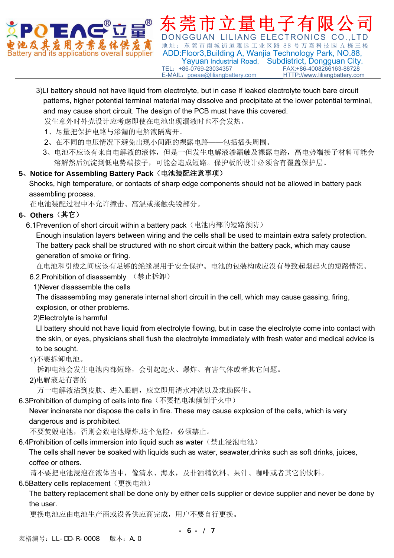

DONGGUAN LILIANG ELECTRONICS 地址:东莞市南城街道雅园工业区路 88 号万嘉科技园 A 栋三楼 ttery and its applications overall supplier ADD: Floor3, Building A, Wanjia Technology Park, NO.88, Yayuan Industrial Road, Subdistrict, Dongguan City.<br>FAX:+86-4008266163-88728 FAX:+86-4008266163-88728<br>HTTP://www.liliangbattery.com E-MAIL: poeae@liliangbattery.com

3)LI battery should not have liquid from electrolyte, but in case If leaked electrolyte touch bare circuit patterns, higher potential terminal material may dissolve and precipitate at the lower potential terminal, and may cause short circuit. The design of the PCB must have this covered.

发生意外时外壳设计应考虑即使在电池出现漏液时也不会发热。

- 1、尽量把保护电路与渗漏的电解液隔离开。
- 2、在不同的电压情况下避免出现小间距的裸露电路——包括插头周围。
- 3、电池不应该有来自电解液的液体,但是一但发生电解液渗漏触及裸露电路,高电势端接子材料可能会 溶解然后沉淀到低电势端接子,可能会造成短路。保护板的设计必须含有覆盖保护层。

### **5**、**Notice for Assembling Battery Pack**(电池装配注意事项)

Shocks, high temperature, or contacts of sharp edge components should not be allowed in battery pack assembling process.

在电池装配过程中不允许撞击、高温或接触尖锐部分。

## **6**、**Others**(其它)

6.1Prevention of short circuit within a battery pack (电池内部的短路预防)

Enough insulation layers between wiring and the cells shall be used to maintain extra safety protection. The battery pack shall be structured with no short circuit within the battery pack, which may cause generation of smoke or firing.

在电池和引线之间应该有足够的绝缘层用于安全保护。电池的包装构成应没有导致起烟起火的短路情况。

6.2.Prohibition of disassembly (禁止拆卸)

## 1)Never disassemble the cells

The disassembling may generate internal short circuit in the cell, which may cause gassing, firing, explosion, or other problems.

2)Electrolyte is harmful

LI battery should not have liquid from electrolyte flowing, but in case the electrolyte come into contact with the skin, or eyes, physicians shall flush the electrolyte immediately with fresh water and medical advice is to be sought.

### 1)不要拆卸电池。

拆卸电池会发生电池内部短路,会引起起火、爆炸、有害气体或者其它问题。

2)电解液是有害的

万一电解液沾到皮肤、进入眼睛,应立即用清水冲洗以及求助医生。

6.3Prohibition of dumping of cells into fire(不要把电池倾倒于火中)

Never incinerate nor dispose the cells in fire. These may cause explosion of the cells, which is very dangerous and is prohibited.

不要焚毁电池,否则会致电池爆炸,这个危险,必须禁止。

6.4Prohibition of cells immersion into liquid such as water(禁止浸泡电池)

The cells shall never be soaked with liquids such as water, seawater,drinks such as soft drinks, juices, coffee or others.

请不要把电池浸泡在液体当中,像清水、海水,及非酒精饮料、果汁、咖啡或者其它的饮料。

## 6.5Battery cells replacement (更换电池)

The battery replacement shall be done only by either cells supplier or device supplier and never be done by the user.

更换电池应由电池生产商或设备供应商完成,用户不要自行更换。